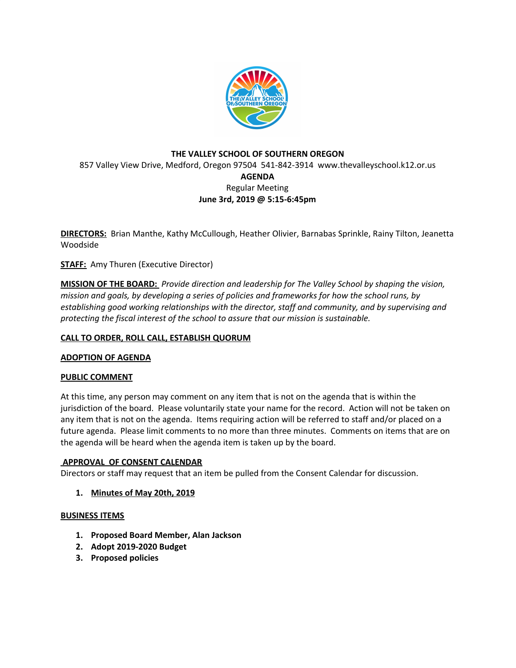

# **THE VALLEY SCHOOL OF SOUTHERN OREGON** 857 Valley View Drive, Medford, Oregon 97504 541-842-3914 www.thevalleyschool.k12.or.us **AGENDA** Regular Meeting **June 3rd, 2019 @ 5:15-6:45pm**

**DIRECTORS:** Brian Manthe, Kathy McCullough, Heather Olivier, Barnabas Sprinkle, Rainy Tilton, Jeanetta Woodside

**STAFF:** Amy Thuren (Executive Director)

**MISSION OF THE BOARD:** *Provide direction and leadership for The Valley School by shaping the vision, mission and goals, by developing a series of policies and frameworks for how the school runs, by establishing good working relationships with the director, staff and community, and by supervising and protecting the fiscal interest of the school to assure that our mission is sustainable.*

## **CALL TO ORDER, ROLL CALL, ESTABLISH QUORUM**

### **ADOPTION OF AGENDA**

### **PUBLIC COMMENT**

At this time, any person may comment on any item that is not on the agenda that is within the jurisdiction of the board. Please voluntarily state your name for the record. Action will not be taken on any item that is not on the agenda. Items requiring action will be referred to staff and/or placed on a future agenda. Please limit comments to no more than three minutes. Comments on items that are on the agenda will be heard when the agenda item is taken up by the board.

### **APPROVAL OF CONSENT CALENDAR**

Directors or staff may request that an item be pulled from the Consent Calendar for discussion.

**1. Minutes of May 20th, 2019**

#### **BUSINESS ITEMS**

- **1. Proposed Board Member, Alan Jackson**
- **2. Adopt 2019-2020 Budget**
- **3. Proposed policies**